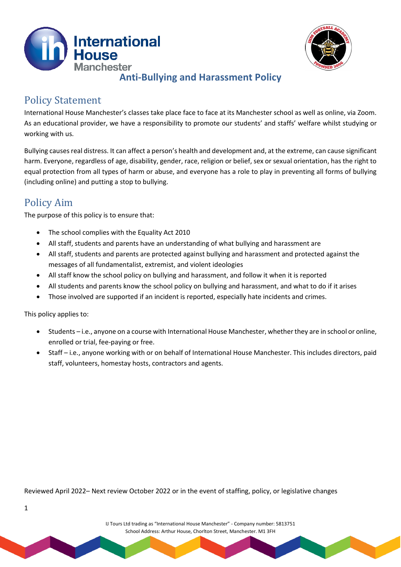



### **Anti-Bullying and Harassment Policy**

## Policy Statement

International House Manchester's classes take place face to face at its Manchester school as well as online, via Zoom. As an educational provider, we have a responsibility to promote our students' and staffs' welfare whilst studying or working with us.

Bullying causes real distress. It can affect a person's health and development and, at the extreme, can cause significant harm. Everyone, regardless of age, disability, gender, race, religion or belief, sex or sexual orientation, has the right to equal protection from all types of harm or abuse, and everyone has a role to play in preventing all forms of bullying (including online) and putting a stop to bullying.

# Policy Aim

The purpose of this policy is to ensure that:

- The school complies with the Equality Act 2010
- All staff, students and parents have an understanding of what bullying and harassment are
- All staff, students and parents are protected against bullying and harassment and protected against the messages of all fundamentalist, extremist, and violent ideologies
- All staff know the school policy on bullying and harassment, and follow it when it is reported
- All students and parents know the school policy on bullying and harassment, and what to do if it arises
- Those involved are supported if an incident is reported, especially hate incidents and crimes.

This policy applies to:

1

- Students i.e., anyone on a course with International House Manchester, whether they are in school or online, enrolled or trial, fee-paying or free.
- Staff i.e., anyone working with or on behalf of International House Manchester. This includes directors, paid staff, volunteers, homestay hosts, contractors and agents.

Reviewed April 2022– Next review October 2022 or in the event of staffing, policy, or legislative changes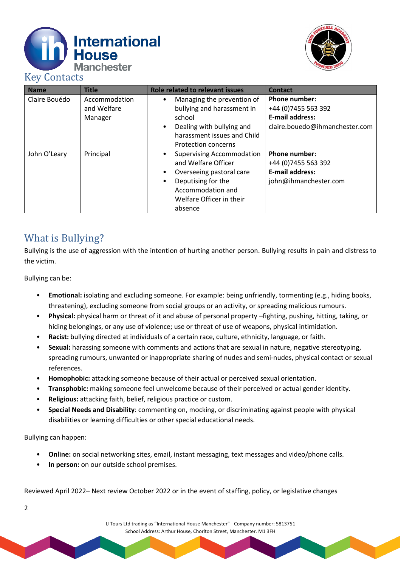



## Key Contacts

| <b>Name</b>   | <b>Title</b>                            | <b>Role related to relevant issues</b>                                                                                                                                             | <b>Contact</b>                                                                                           |
|---------------|-----------------------------------------|------------------------------------------------------------------------------------------------------------------------------------------------------------------------------------|----------------------------------------------------------------------------------------------------------|
| Claire Bouédo | Accommodation<br>and Welfare<br>Manager | Managing the prevention of<br>bullying and harassment in<br>school<br>Dealing with bullying and<br>$\bullet$<br>harassment issues and Child<br><b>Protection concerns</b>          | <b>Phone number:</b><br>+44 (0) 7455 563 392<br><b>E-mail address:</b><br>claire.bouedo@ihmanchester.com |
| John O'Leary  | Principal                               | <b>Supervising Accommodation</b><br>and Welfare Officer<br>Overseeing pastoral care<br>Deputising for the<br>$\bullet$<br>Accommodation and<br>Welfare Officer in their<br>absence | <b>Phone number:</b><br>+44 (0) 7455 563 392<br><b>E-mail address:</b><br>john@ihmanchester.com          |

## What is Bullying?

Bullying is the use of aggression with the intention of hurting another person. Bullying results in pain and distress to the victim.

Bullying can be:

- **Emotional:** isolating and excluding someone. For example: being unfriendly, tormenting (e.g., hiding books, threatening), excluding someone from social groups or an activity, or spreading malicious rumours.
- **Physical:** physical harm or threat of it and abuse of personal property –fighting, pushing, hitting, taking, or hiding belongings, or any use of violence; use or threat of use of weapons, physical intimidation.
- **Racist:** bullying directed at individuals of a certain race, culture, ethnicity, language, or faith.
- **Sexual:** harassing someone with comments and actions that are sexual in nature, negative stereotyping, spreading rumours, unwanted or inappropriate sharing of nudes and semi-nudes, physical contact or sexual references.
- **Homophobic:** attacking someone because of their actual or perceived sexual orientation.
- **Transphobic:** making someone feel unwelcome because of their perceived or actual gender identity.
- **Religious:** attacking faith, belief, religious practice or custom.
- **Special Needs and Disability**: commenting on, mocking, or discriminating against people with physical disabilities or learning difficulties or other special educational needs.

Bullying can happen:

2

- **Online:** on social networking sites, email, instant messaging, text messages and video/phone calls.
- **In person:** on our outside school premises.

Reviewed April 2022– Next review October 2022 or in the event of staffing, policy, or legislative changes

IJ Tours Ltd trading as "International House Manchester" - Company number: 5813751 School Address: Arthur House, Chorlton Street, Manchester. M1 3FH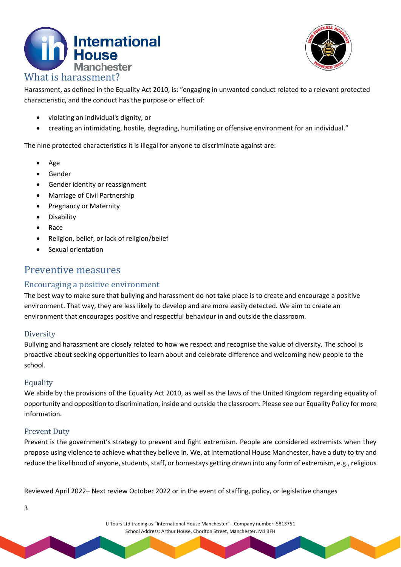



Harassment, as defined in the Equality Act 2010, is: "engaging in unwanted conduct related to a relevant protected characteristic, and the conduct has the purpose or effect of:

- violating an individual's dignity, or
- creating an intimidating, hostile, degrading, humiliating or offensive environment for an individual."

The nine protected characteristics it is illegal for anyone to discriminate against are:

- Age
- Gender
- Gender identity or reassignment
- Marriage of Civil Partnership
- Pregnancy or Maternity
- Disability
- Race
- Religion, belief, or lack of religion/belief
- Sexual orientation

### Preventive measures

#### Encouraging a positive environment

The best way to make sure that bullying and harassment do not take place is to create and encourage a positive environment. That way, they are less likely to develop and are more easily detected. We aim to create an environment that encourages positive and respectful behaviour in and outside the classroom.

#### **Diversity**

Bullying and harassment are closely related to how we respect and recognise the value of diversity. The school is proactive about seeking opportunities to learn about and celebrate difference and welcoming new people to the school.

#### **Equality**

We abide by the provisions of the Equality Act 2010, as well as the laws of the United Kingdom regarding equality of opportunity and opposition to discrimination, inside and outside the classroom. Please see our Equality Policy for more information.

#### Prevent Duty

3

Prevent is the government's strategy to prevent and fight extremism. People are considered extremists when they propose using violence to achieve what they believe in. We, at International House Manchester, have a duty to try and reduce the likelihood of anyone, students, staff, or homestays getting drawn into any form of extremism, e.g., religious

Reviewed April 2022– Next review October 2022 or in the event of staffing, policy, or legislative changes

IJ Tours Ltd trading as "International House Manchester" - Company number: 5813751 School Address: Arthur House, Chorlton Street, Manchester. M1 3FH